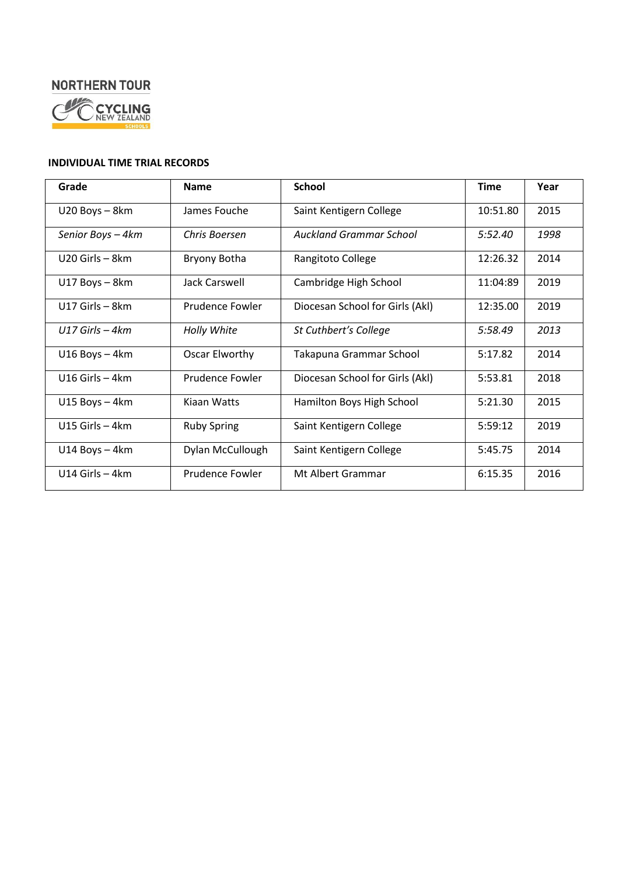# **NORTHERN TOUR**



### **INDIVIDUAL TIME TRIAL RECORDS**

| Grade              | <b>Name</b>        | <b>School</b>                   | <b>Time</b> | Year |
|--------------------|--------------------|---------------------------------|-------------|------|
| U20 Boys - 8km     | James Fouche       | Saint Kentigern College         | 10:51.80    | 2015 |
| Senior Boys - 4km  | Chris Boersen      | Auckland Grammar School         | 5:52.40     | 1998 |
| $U20$ Girls – 8km  | Bryony Botha       | Rangitoto College               | 12:26.32    | 2014 |
| U17 Boys - 8km     | Jack Carswell      | Cambridge High School           | 11:04:89    | 2019 |
| $U17$ Girls – 8km  | Prudence Fowler    | Diocesan School for Girls (Akl) | 12:35.00    | 2019 |
| $U17$ Girls $-4km$ | Holly White        | St Cuthbert's College           | 5:58.49     | 2013 |
| $U16$ Boys $-$ 4km | Oscar Elworthy     | Takapuna Grammar School         | 5:17.82     | 2014 |
| $U16$ Girls $-4km$ | Prudence Fowler    | Diocesan School for Girls (Akl) | 5:53.81     | 2018 |
| $U15 Boys - 4km$   | Kiaan Watts        | Hamilton Boys High School       | 5:21.30     | 2015 |
| U15 Girls $-4km$   | <b>Ruby Spring</b> | Saint Kentigern College         | 5:59:12     | 2019 |
| U14 Boys - 4km     | Dylan McCullough   | Saint Kentigern College         | 5:45.75     | 2014 |
| $U14$ Girls – 4km  | Prudence Fowler    | Mt Albert Grammar               | 6:15.35     | 2016 |